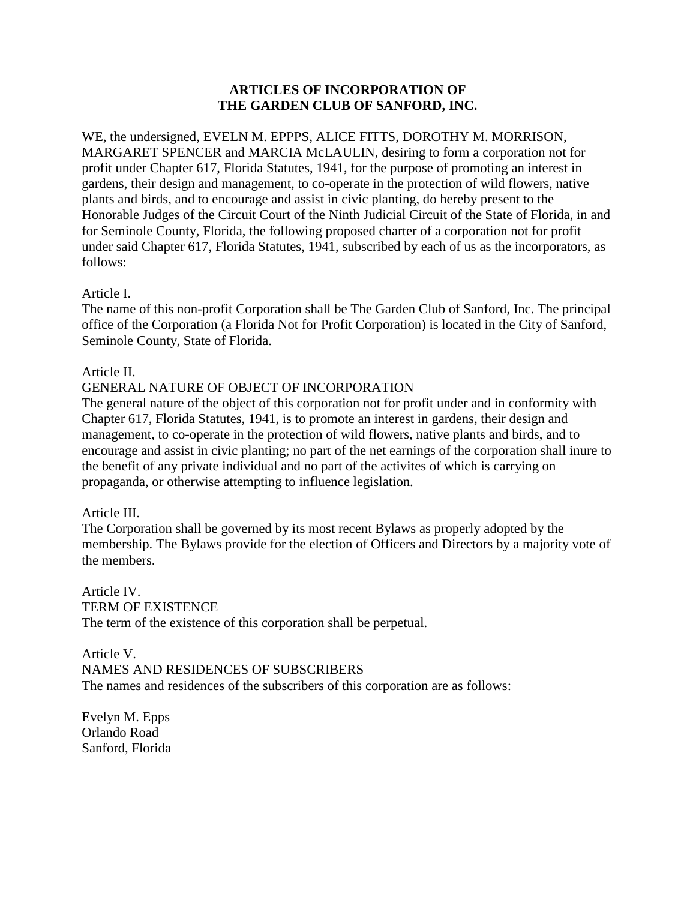# **ARTICLES OF INCORPORATION OF THE GARDEN CLUB OF SANFORD, INC.**

WE, the undersigned, EVELN M. EPPPS, ALICE FITTS, DOROTHY M. MORRISON, MARGARET SPENCER and MARCIA McLAULIN, desiring to form a corporation not for profit under Chapter 617, Florida Statutes, 1941, for the purpose of promoting an interest in gardens, their design and management, to co-operate in the protection of wild flowers, native plants and birds, and to encourage and assist in civic planting, do hereby present to the Honorable Judges of the Circuit Court of the Ninth Judicial Circuit of the State of Florida, in and for Seminole County, Florida, the following proposed charter of a corporation not for profit under said Chapter 617, Florida Statutes, 1941, subscribed by each of us as the incorporators, as follows:

### Article I.

The name of this non-profit Corporation shall be The Garden Club of Sanford, Inc. The principal office of the Corporation (a Florida Not for Profit Corporation) is located in the City of Sanford, Seminole County, State of Florida.

# Article II.

# GENERAL NATURE OF OBJECT OF INCORPORATION

The general nature of the object of this corporation not for profit under and in conformity with Chapter 617, Florida Statutes, 1941, is to promote an interest in gardens, their design and management, to co-operate in the protection of wild flowers, native plants and birds, and to encourage and assist in civic planting; no part of the net earnings of the corporation shall inure to the benefit of any private individual and no part of the activites of which is carrying on propaganda, or otherwise attempting to influence legislation.

### Article III.

The Corporation shall be governed by its most recent Bylaws as properly adopted by the membership. The Bylaws provide for the election of Officers and Directors by a majority vote of the members.

Article IV. TERM OF EXISTENCE The term of the existence of this corporation shall be perpetual.

Article V. NAMES AND RESIDENCES OF SUBSCRIBERS The names and residences of the subscribers of this corporation are as follows:

Evelyn M. Epps Orlando Road Sanford, Florida